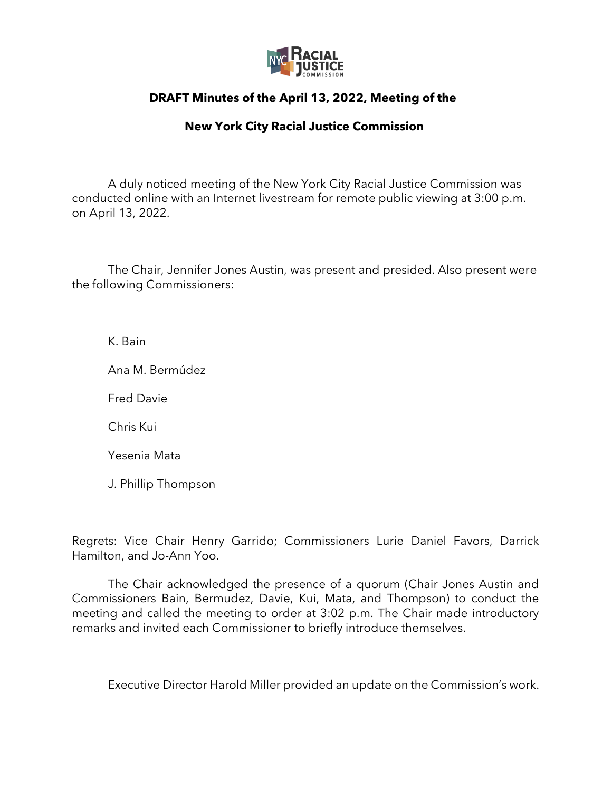

## **DRAFT Minutes of the April 13, 2022, Meeting of the**

## **New York City Racial Justice Commission**

A duly noticed meeting of the New York City Racial Justice Commission was conducted online with an Internet livestream for remote public viewing at 3:00 p.m. on April 13, 2022.

The Chair, Jennifer Jones Austin, was present and presided. Also present were the following Commissioners:

K. Bain

Ana M. Bermúdez

Fred Davie

Chris Kui

Yesenia Mata

J. Phillip Thompson

Regrets: Vice Chair Henry Garrido; Commissioners Lurie Daniel Favors, Darrick Hamilton, and Jo-Ann Yoo.

The Chair acknowledged the presence of a quorum (Chair Jones Austin and Commissioners Bain, Bermudez, Davie, Kui, Mata, and Thompson) to conduct the meeting and called the meeting to order at 3:02 p.m. The Chair made introductory remarks and invited each Commissioner to briefly introduce themselves.

Executive Director Harold Miller provided an update on the Commission's work.